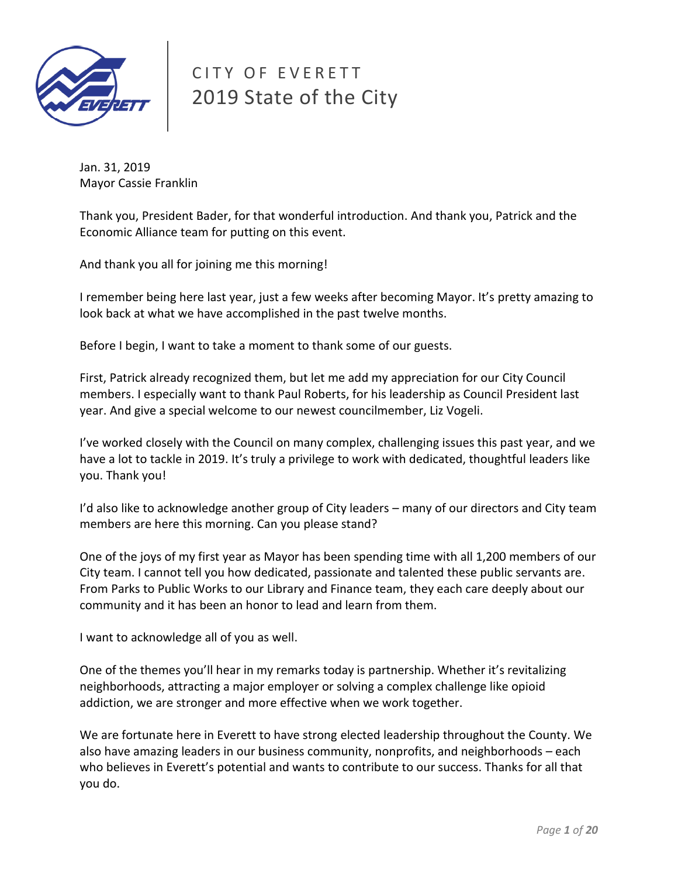

# CITY OF EVERETT 2019 State of the City

Jan. 31, 2019 Mayor Cassie Franklin

Thank you, President Bader, for that wonderful introduction. And thank you, Patrick and the Economic Alliance team for putting on this event.

And thank you all for joining me this morning!

I remember being here last year, just a few weeks after becoming Mayor. It's pretty amazing to look back at what we have accomplished in the past twelve months.

Before I begin, I want to take a moment to thank some of our guests.

First, Patrick already recognized them, but let me add my appreciation for our City Council members. I especially want to thank Paul Roberts, for his leadership as Council President last year. And give a special welcome to our newest councilmember, Liz Vogeli.

I've worked closely with the Council on many complex, challenging issues this past year, and we have a lot to tackle in 2019. It's truly a privilege to work with dedicated, thoughtful leaders like you. Thank you!

I'd also like to acknowledge another group of City leaders – many of our directors and City team members are here this morning. Can you please stand?

One of the joys of my first year as Mayor has been spending time with all 1,200 members of our City team. I cannot tell you how dedicated, passionate and talented these public servants are. From Parks to Public Works to our Library and Finance team, they each care deeply about our community and it has been an honor to lead and learn from them.

I want to acknowledge all of you as well.

One of the themes you'll hear in my remarks today is partnership. Whether it's revitalizing neighborhoods, attracting a major employer or solving a complex challenge like opioid addiction, we are stronger and more effective when we work together.

We are fortunate here in Everett to have strong elected leadership throughout the County. We also have amazing leaders in our business community, nonprofits, and neighborhoods – each who believes in Everett's potential and wants to contribute to our success. Thanks for all that you do.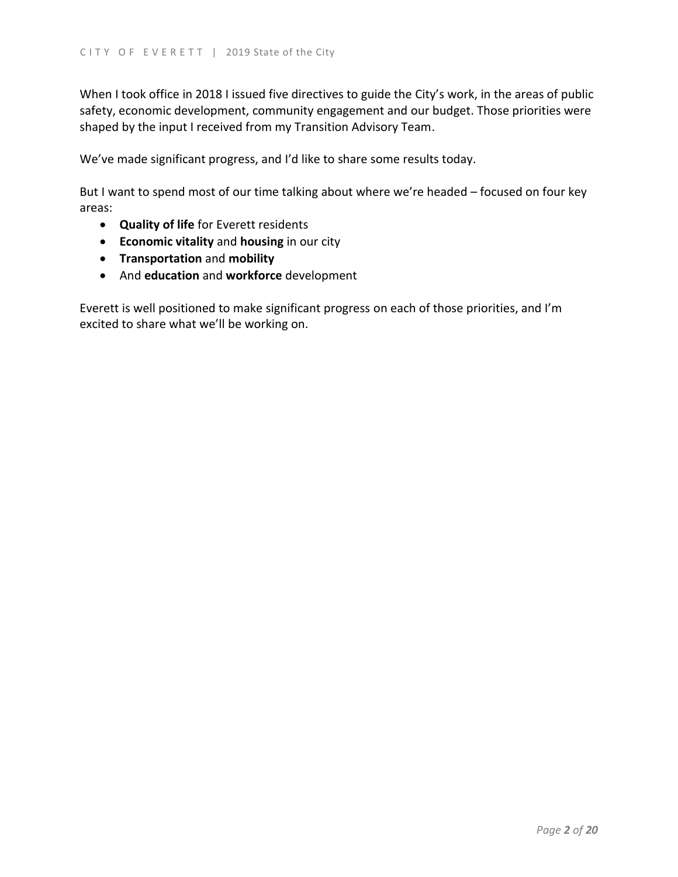When I took office in 2018 I issued five directives to guide the City's work, in the areas of public safety, economic development, community engagement and our budget. Those priorities were shaped by the input I received from my Transition Advisory Team.

We've made significant progress, and I'd like to share some results today.

But I want to spend most of our time talking about where we're headed – focused on four key areas:

- **Quality of life** for Everett residents
- **Economic vitality** and **housing** in our city
- **Transportation** and **mobility**
- And **education** and **workforce** development

Everett is well positioned to make significant progress on each of those priorities, and I'm excited to share what we'll be working on.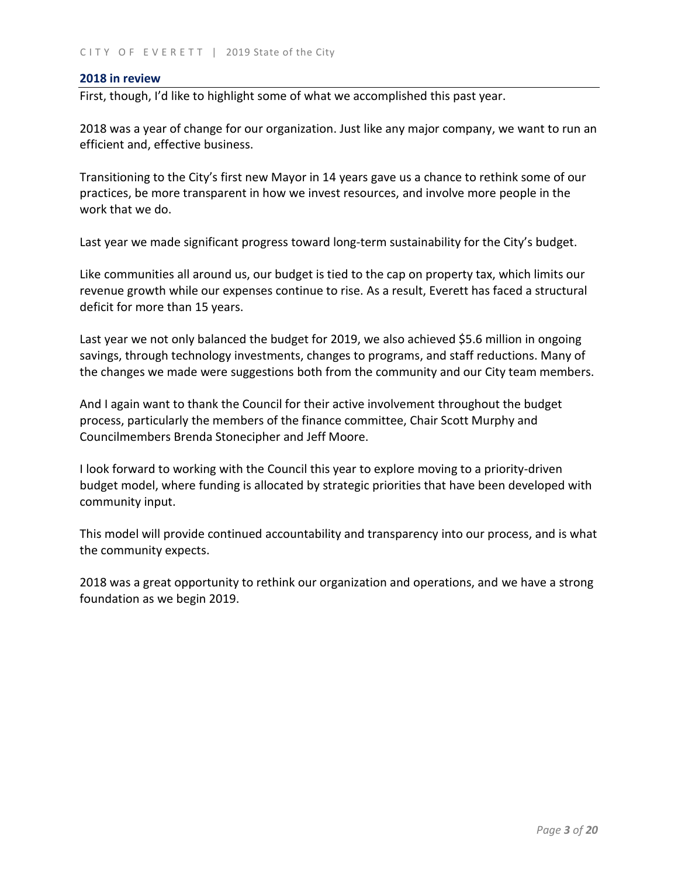#### **2018 in review**

First, though, I'd like to highlight some of what we accomplished this past year.

2018 was a year of change for our organization. Just like any major company, we want to run an efficient and, effective business.

Transitioning to the City's first new Mayor in 14 years gave us a chance to rethink some of our practices, be more transparent in how we invest resources, and involve more people in the work that we do.

Last year we made significant progress toward long-term sustainability for the City's budget.

Like communities all around us, our budget is tied to the cap on property tax, which limits our revenue growth while our expenses continue to rise. As a result, Everett has faced a structural deficit for more than 15 years.

Last year we not only balanced the budget for 2019, we also achieved \$5.6 million in ongoing savings, through technology investments, changes to programs, and staff reductions. Many of the changes we made were suggestions both from the community and our City team members.

And I again want to thank the Council for their active involvement throughout the budget process, particularly the members of the finance committee, Chair Scott Murphy and Councilmembers Brenda Stonecipher and Jeff Moore.

I look forward to working with the Council this year to explore moving to a priority-driven budget model, where funding is allocated by strategic priorities that have been developed with community input.

This model will provide continued accountability and transparency into our process, and is what the community expects.

2018 was a great opportunity to rethink our organization and operations, and we have a strong foundation as we begin 2019.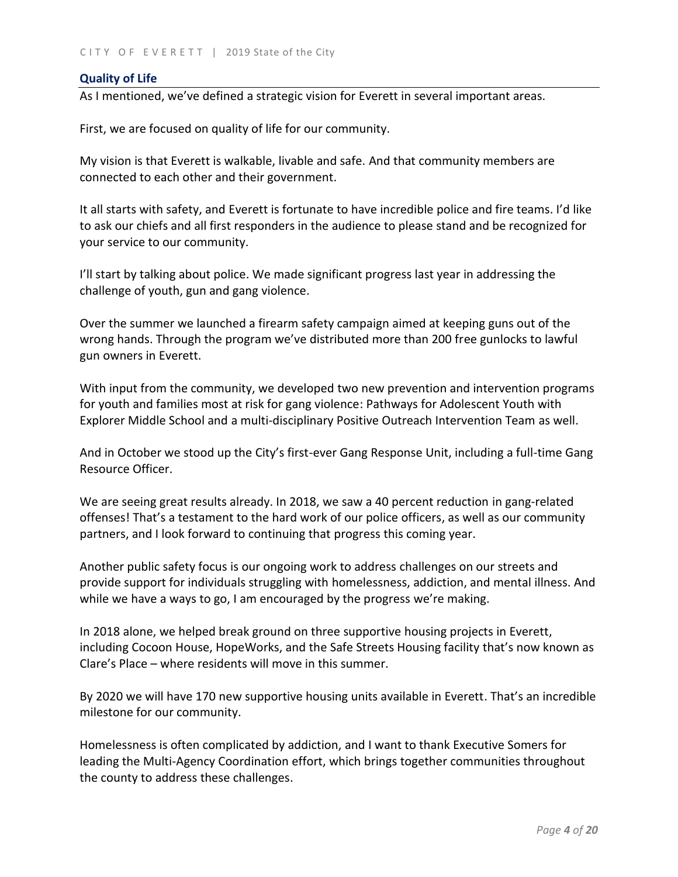## **Quality of Life**

As I mentioned, we've defined a strategic vision for Everett in several important areas.

First, we are focused on quality of life for our community.

My vision is that Everett is walkable, livable and safe. And that community members are connected to each other and their government.

It all starts with safety, and Everett is fortunate to have incredible police and fire teams. I'd like to ask our chiefs and all first responders in the audience to please stand and be recognized for your service to our community.

I'll start by talking about police. We made significant progress last year in addressing the challenge of youth, gun and gang violence.

Over the summer we launched a firearm safety campaign aimed at keeping guns out of the wrong hands. Through the program we've distributed more than 200 free gunlocks to lawful gun owners in Everett.

With input from the community, we developed two new prevention and intervention programs for youth and families most at risk for gang violence: Pathways for Adolescent Youth with Explorer Middle School and a multi-disciplinary Positive Outreach Intervention Team as well.

And in October we stood up the City's first-ever Gang Response Unit, including a full-time Gang Resource Officer.

We are seeing great results already. In 2018, we saw a 40 percent reduction in gang-related offenses! That's a testament to the hard work of our police officers, as well as our community partners, and I look forward to continuing that progress this coming year.

Another public safety focus is our ongoing work to address challenges on our streets and provide support for individuals struggling with homelessness, addiction, and mental illness. And while we have a ways to go, I am encouraged by the progress we're making.

In 2018 alone, we helped break ground on three supportive housing projects in Everett, including Cocoon House, HopeWorks, and the Safe Streets Housing facility that's now known as Clare's Place – where residents will move in this summer.

By 2020 we will have 170 new supportive housing units available in Everett. That's an incredible milestone for our community.

Homelessness is often complicated by addiction, and I want to thank Executive Somers for leading the Multi-Agency Coordination effort, which brings together communities throughout the county to address these challenges.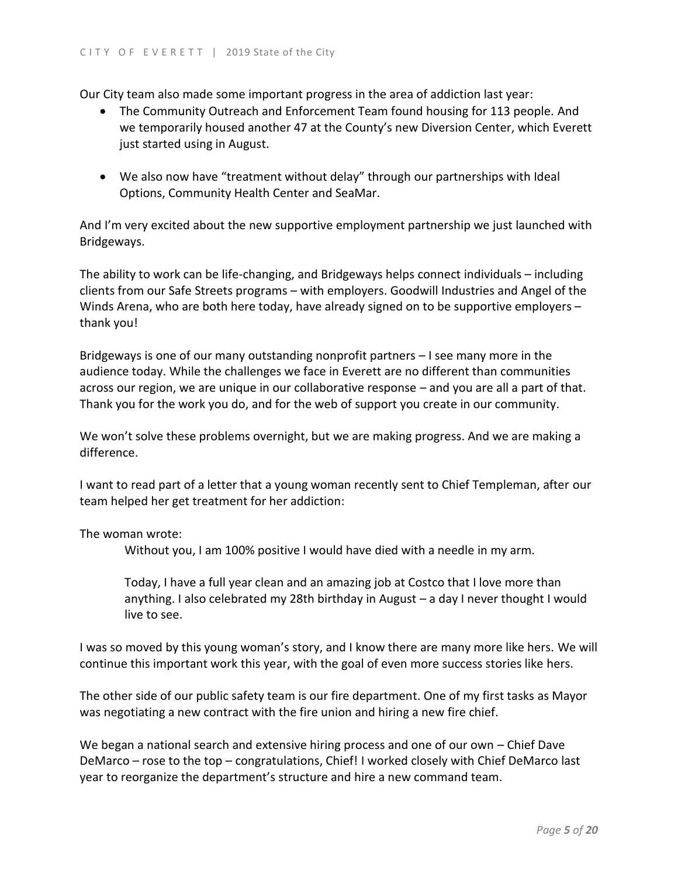Our City team also made some important progress in the area of addiction last year:

- The Community Outreach and Enforcement Team found housing for 113 people. And we temporarily housed another 47 at the County's new Diversion Center, which Everett just started using in August.
- We also now have "treatment without delay" through our partnerships with Ideal Options, Community Health Center and SeaMar.

And I'm very excited about the new supportive employment partnership we just launched with Bridgeways.

The ability to work can be life-changing, and Bridgeways helps connect individuals – including clients from our Safe Streets programs – with employers. Goodwill Industries and Angel of the Winds Arena, who are both here today, have already signed on to be supportive employers – thank you!

Bridgeways is one of our many outstanding nonprofit partners – I see many more in the audience today. While the challenges we face in Everett are no different than communities across our region, we are unique in our collaborative response – and you are all a part of that. Thank you for the work you do, and for the web of support you create in our community.

We won't solve these problems overnight, but we are making progress. And we are making a difference.

I want to read part of a letter that a young woman recently sent to Chief Templeman, after our team helped her get treatment for her addiction:

## The woman wrote:

Without you, I am 100% positive I would have died with a needle in my arm.

Today, I have a full year clean and an amazing job at Costco that I love more than anything. I also celebrated my 28th birthday in August – a day I never thought I would live to see.

I was so moved by this young woman's story, and I know there are many more like hers. We will continue this important work this year, with the goal of even more success stories like hers.

The other side of our public safety team is our fire department. One of my first tasks as Mayor was negotiating a new contract with the fire union and hiring a new fire chief.

We began a national search and extensive hiring process and one of our own – Chief Dave DeMarco – rose to the top – congratulations, Chief! I worked closely with Chief DeMarco last year to reorganize the department's structure and hire a new command team.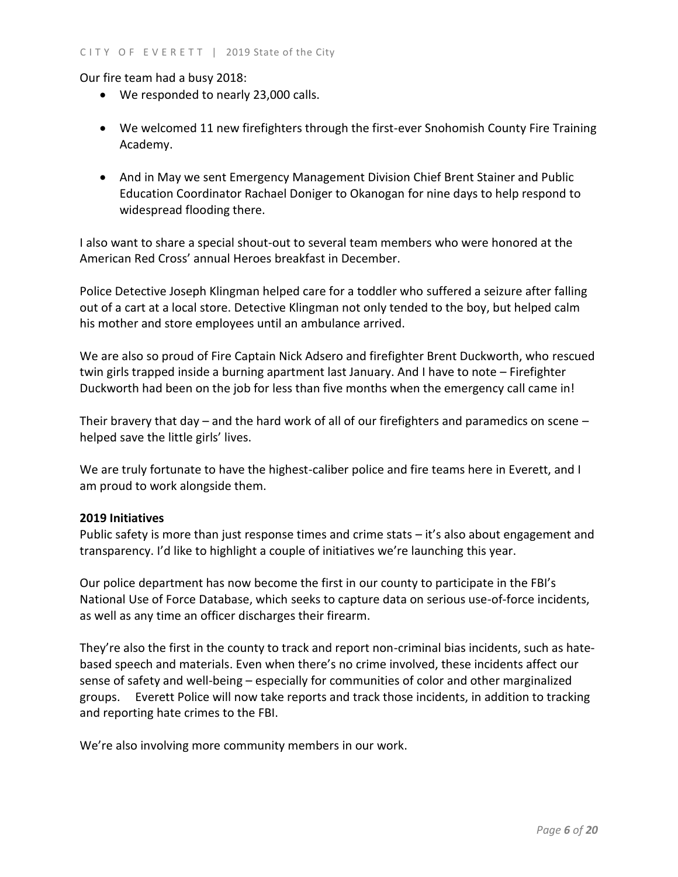Our fire team had a busy 2018:

- We responded to nearly 23,000 calls.
- We welcomed 11 new firefighters through the first-ever Snohomish County Fire Training Academy.
- And in May we sent Emergency Management Division Chief Brent Stainer and Public Education Coordinator Rachael Doniger to Okanogan for nine days to help respond to widespread flooding there.

I also want to share a special shout-out to several team members who were honored at the American Red Cross' annual Heroes breakfast in December.

Police Detective Joseph Klingman helped care for a toddler who suffered a seizure after falling out of a cart at a local store. Detective Klingman not only tended to the boy, but helped calm his mother and store employees until an ambulance arrived.

We are also so proud of Fire Captain Nick Adsero and firefighter Brent Duckworth, who rescued twin girls trapped inside a burning apartment last January. And I have to note – Firefighter Duckworth had been on the job for less than five months when the emergency call came in!

Their bravery that day – and the hard work of all of our firefighters and paramedics on scene – helped save the little girls' lives.

We are truly fortunate to have the highest-caliber police and fire teams here in Everett, and I am proud to work alongside them.

# **2019 Initiatives**

Public safety is more than just response times and crime stats – it's also about engagement and transparency. I'd like to highlight a couple of initiatives we're launching this year.

Our police department has now become the first in our county to participate in the FBI's National Use of Force Database, which seeks to capture data on serious use-of-force incidents, as well as any time an officer discharges their firearm.

They're also the first in the county to track and report non-criminal bias incidents, such as hatebased speech and materials. Even when there's no crime involved, these incidents affect our sense of safety and well-being – especially for communities of color and other marginalized groups. Everett Police will now take reports and track those incidents, in addition to tracking and reporting hate crimes to the FBI.

We're also involving more community members in our work.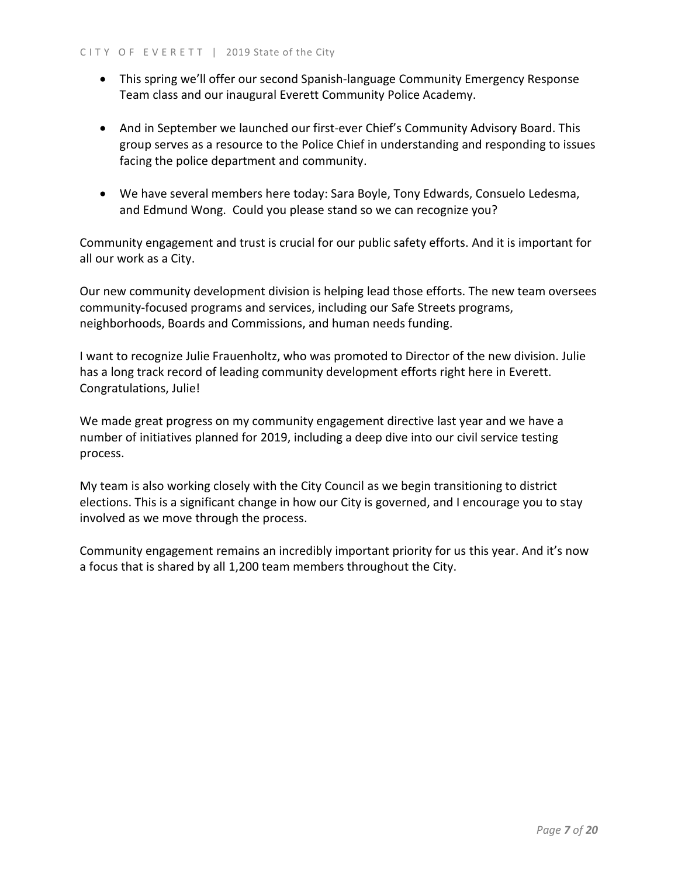- This spring we'll offer our second Spanish-language Community Emergency Response Team class and our inaugural Everett Community Police Academy.
- And in September we launched our first-ever Chief's Community Advisory Board. This group serves as a resource to the Police Chief in understanding and responding to issues facing the police department and community.
- We have several members here today: Sara Boyle, Tony Edwards, Consuelo Ledesma, and Edmund Wong. Could you please stand so we can recognize you?

Community engagement and trust is crucial for our public safety efforts. And it is important for all our work as a City.

Our new community development division is helping lead those efforts. The new team oversees community-focused programs and services, including our Safe Streets programs, neighborhoods, Boards and Commissions, and human needs funding.

I want to recognize Julie Frauenholtz, who was promoted to Director of the new division. Julie has a long track record of leading community development efforts right here in Everett. Congratulations, Julie!

We made great progress on my community engagement directive last year and we have a number of initiatives planned for 2019, including a deep dive into our civil service testing process.

My team is also working closely with the City Council as we begin transitioning to district elections. This is a significant change in how our City is governed, and I encourage you to stay involved as we move through the process.

Community engagement remains an incredibly important priority for us this year. And it's now a focus that is shared by all 1,200 team members throughout the City.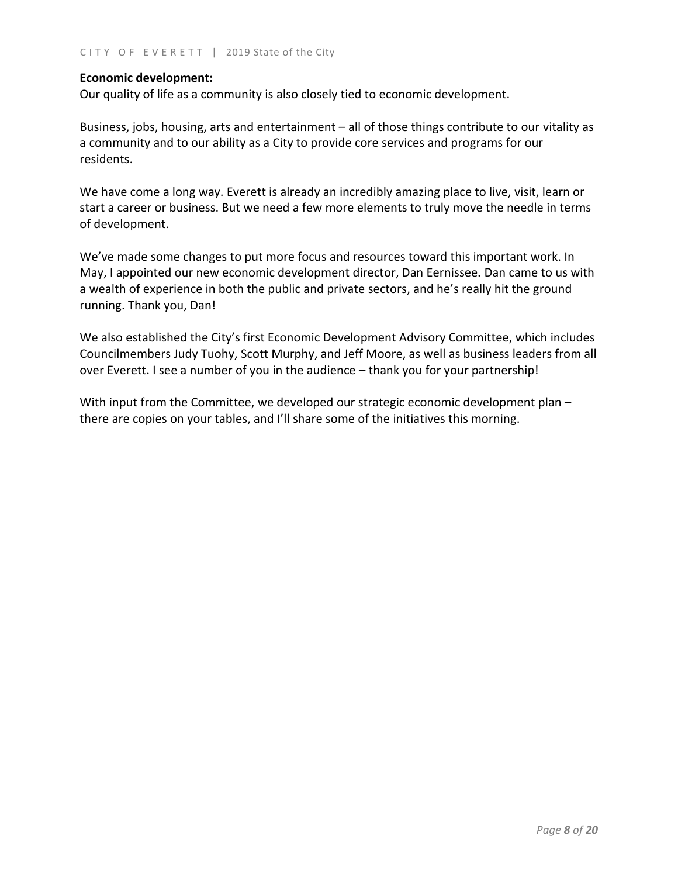## **Economic development:**

Our quality of life as a community is also closely tied to economic development.

Business, jobs, housing, arts and entertainment – all of those things contribute to our vitality as a community and to our ability as a City to provide core services and programs for our residents.

We have come a long way. Everett is already an incredibly amazing place to live, visit, learn or start a career or business. But we need a few more elements to truly move the needle in terms of development.

We've made some changes to put more focus and resources toward this important work. In May, I appointed our new economic development director, Dan Eernissee. Dan came to us with a wealth of experience in both the public and private sectors, and he's really hit the ground running. Thank you, Dan!

We also established the City's first Economic Development Advisory Committee, which includes Councilmembers Judy Tuohy, Scott Murphy, and Jeff Moore, as well as business leaders from all over Everett. I see a number of you in the audience – thank you for your partnership!

With input from the Committee, we developed our strategic economic development plan – there are copies on your tables, and I'll share some of the initiatives this morning.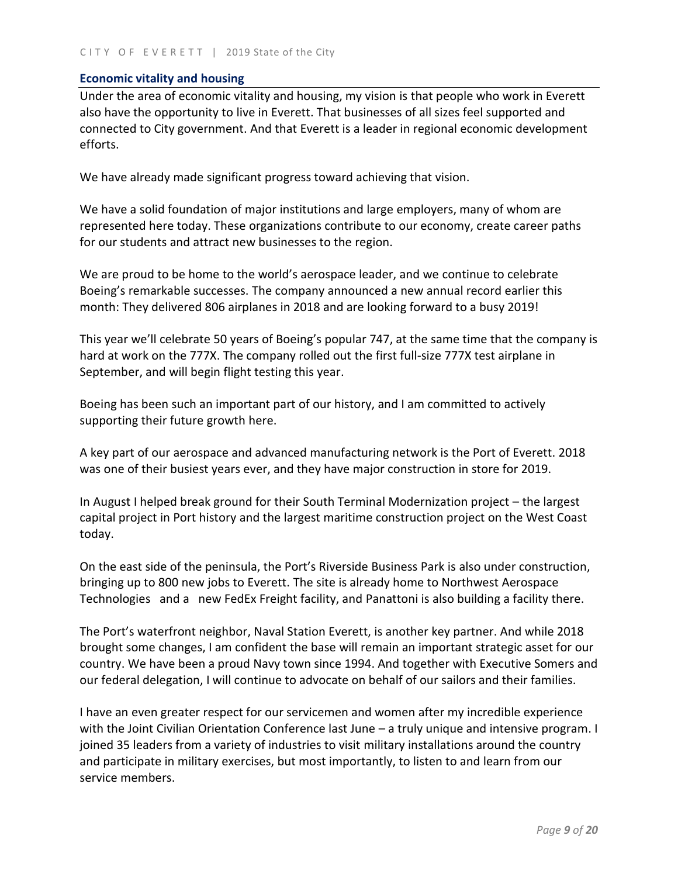## **Economic vitality and housing**

Under the area of economic vitality and housing, my vision is that people who work in Everett also have the opportunity to live in Everett. That businesses of all sizes feel supported and connected to City government. And that Everett is a leader in regional economic development efforts.

We have already made significant progress toward achieving that vision.

We have a solid foundation of major institutions and large employers, many of whom are represented here today. These organizations contribute to our economy, create career paths for our students and attract new businesses to the region.

We are proud to be home to the world's aerospace leader, and we continue to celebrate Boeing's remarkable successes. The company announced a new annual record earlier this month: They delivered 806 airplanes in 2018 and are looking forward to a busy 2019!

This year we'll celebrate 50 years of Boeing's popular 747, at the same time that the company is hard at work on the 777X. The company rolled out the first full-size 777X test airplane in September, and will begin flight testing this year.

Boeing has been such an important part of our history, and I am committed to actively supporting their future growth here.

A key part of our aerospace and advanced manufacturing network is the Port of Everett. 2018 was one of their busiest years ever, and they have major construction in store for 2019.

In August I helped break ground for their South Terminal Modernization project – the largest capital project in Port history and the largest maritime construction project on the West Coast today.

On the east side of the peninsula, the Port's Riverside Business Park is also under construction, bringing up to 800 new jobs to Everett. The site is already home to Northwest Aerospace Technologies and a new FedEx Freight facility, and Panattoni is also building a facility there.

The Port's waterfront neighbor, Naval Station Everett, is another key partner. And while 2018 brought some changes, I am confident the base will remain an important strategic asset for our country. We have been a proud Navy town since 1994. And together with Executive Somers and our federal delegation, I will continue to advocate on behalf of our sailors and their families.

I have an even greater respect for our servicemen and women after my incredible experience with the Joint Civilian Orientation Conference last June – a truly unique and intensive program. I joined 35 leaders from a variety of industries to visit military installations around the country and participate in military exercises, but most importantly, to listen to and learn from our service members.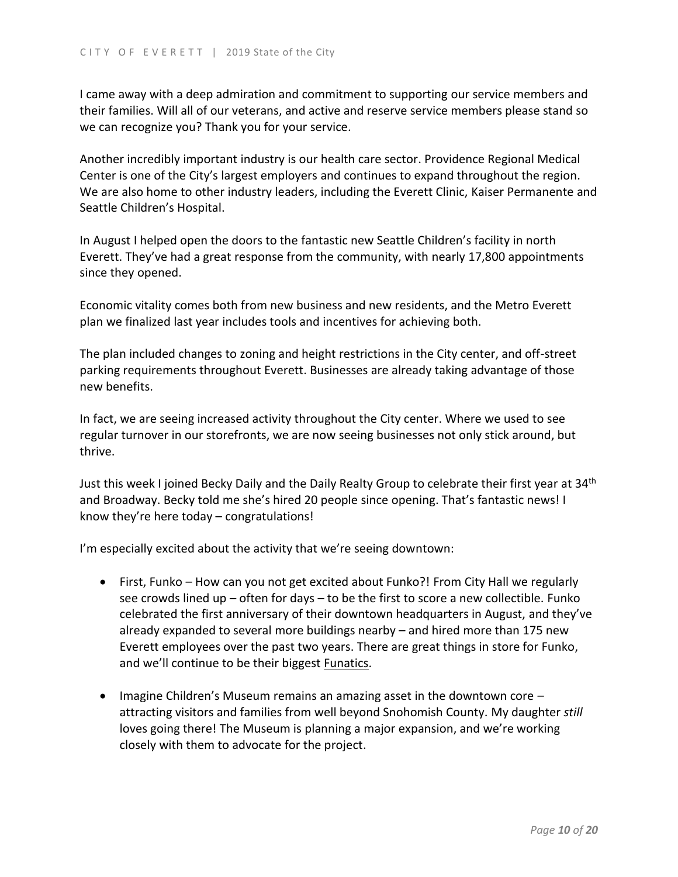I came away with a deep admiration and commitment to supporting our service members and their families. Will all of our veterans, and active and reserve service members please stand so we can recognize you? Thank you for your service.

Another incredibly important industry is our health care sector. Providence Regional Medical Center is one of the City's largest employers and continues to expand throughout the region. We are also home to other industry leaders, including the Everett Clinic, Kaiser Permanente and Seattle Children's Hospital.

In August I helped open the doors to the fantastic new Seattle Children's facility in north Everett. They've had a great response from the community, with nearly 17,800 appointments since they opened.

Economic vitality comes both from new business and new residents, and the Metro Everett plan we finalized last year includes tools and incentives for achieving both.

The plan included changes to zoning and height restrictions in the City center, and off-street parking requirements throughout Everett. Businesses are already taking advantage of those new benefits.

In fact, we are seeing increased activity throughout the City center. Where we used to see regular turnover in our storefronts, we are now seeing businesses not only stick around, but thrive.

Just this week I joined Becky Daily and the Daily Realty Group to celebrate their first year at 34<sup>th</sup> and Broadway. Becky told me she's hired 20 people since opening. That's fantastic news! I know they're here today – congratulations!

I'm especially excited about the activity that we're seeing downtown:

- First, Funko How can you not get excited about Funko?! From City Hall we regularly see crowds lined up – often for days – to be the first to score a new collectible. Funko celebrated the first anniversary of their downtown headquarters in August, and they've already expanded to several more buildings nearby – and hired more than 175 new Everett employees over the past two years. There are great things in store for Funko, and we'll continue to be their biggest Funatics.
- $\bullet$  Imagine Children's Museum remains an amazing asset in the downtown core  $$ attracting visitors and families from well beyond Snohomish County. My daughter *still* loves going there! The Museum is planning a major expansion, and we're working closely with them to advocate for the project.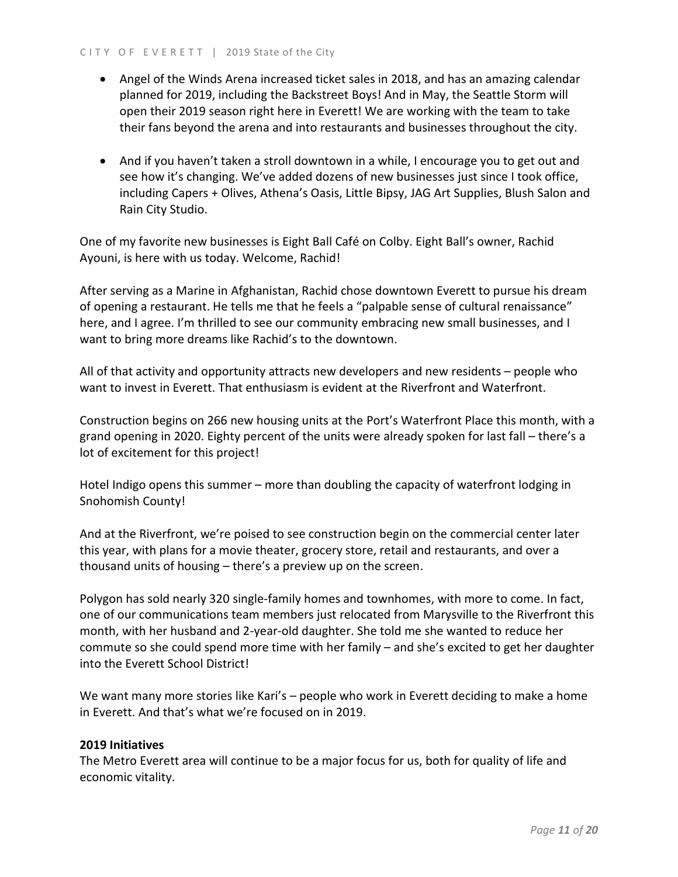- Angel of the Winds Arena increased ticket sales in 2018, and has an amazing calendar planned for 2019, including the Backstreet Boys! And in May, the Seattle Storm will open their 2019 season right here in Everett! We are working with the team to take their fans beyond the arena and into restaurants and businesses throughout the city.
- And if you haven't taken a stroll downtown in a while, I encourage you to get out and see how it's changing. We've added dozens of new businesses just since I took office, including Capers + Olives, Athena's Oasis, Little Bipsy, JAG Art Supplies, Blush Salon and Rain City Studio.

One of my favorite new businesses is Eight Ball Café on Colby. Eight Ball's owner, Rachid Ayouni, is here with us today. Welcome, Rachid!

After serving as a Marine in Afghanistan, Rachid chose downtown Everett to pursue his dream of opening a restaurant. He tells me that he feels a "palpable sense of cultural renaissance" here, and I agree. I'm thrilled to see our community embracing new small businesses, and I want to bring more dreams like Rachid's to the downtown.

All of that activity and opportunity attracts new developers and new residents – people who want to invest in Everett. That enthusiasm is evident at the Riverfront and Waterfront.

Construction begins on 266 new housing units at the Port's Waterfront Place this month, with a grand opening in 2020. Eighty percent of the units were already spoken for last fall – there's a lot of excitement for this project!

Hotel Indigo opens this summer – more than doubling the capacity of waterfront lodging in Snohomish County!

And at the Riverfront, we're poised to see construction begin on the commercial center later this year, with plans for a movie theater, grocery store, retail and restaurants, and over a thousand units of housing – there's a preview up on the screen.

Polygon has sold nearly 320 single-family homes and townhomes, with more to come. In fact, one of our communications team members just relocated from Marysville to the Riverfront this month, with her husband and 2-year-old daughter. She told me she wanted to reduce her commute so she could spend more time with her family – and she's excited to get her daughter into the Everett School District!

We want many more stories like Kari's – people who work in Everett deciding to make a home in Everett. And that's what we're focused on in 2019.

## **2019 Initiatives**

The Metro Everett area will continue to be a major focus for us, both for quality of life and economic vitality.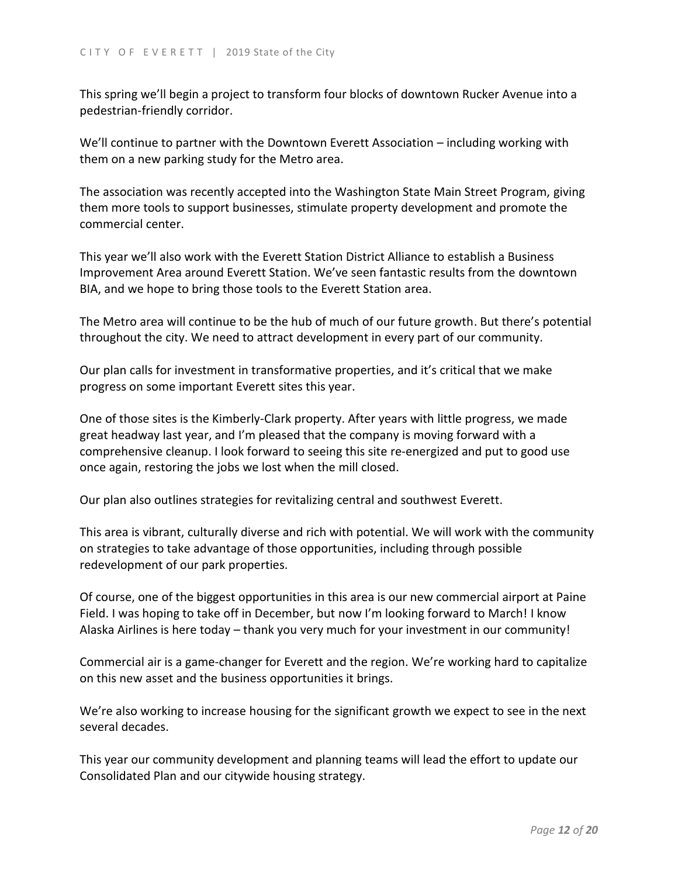This spring we'll begin a project to transform four blocks of downtown Rucker Avenue into a pedestrian-friendly corridor.

We'll continue to partner with the Downtown Everett Association – including working with them on a new parking study for the Metro area.

The association was recently accepted into the Washington State Main Street Program, giving them more tools to support businesses, stimulate property development and promote the commercial center.

This year we'll also work with the Everett Station District Alliance to establish a Business Improvement Area around Everett Station. We've seen fantastic results from the downtown BIA, and we hope to bring those tools to the Everett Station area.

The Metro area will continue to be the hub of much of our future growth. But there's potential throughout the city. We need to attract development in every part of our community.

Our plan calls for investment in transformative properties, and it's critical that we make progress on some important Everett sites this year.

One of those sites is the Kimberly-Clark property. After years with little progress, we made great headway last year, and I'm pleased that the company is moving forward with a comprehensive cleanup. I look forward to seeing this site re-energized and put to good use once again, restoring the jobs we lost when the mill closed.

Our plan also outlines strategies for revitalizing central and southwest Everett.

This area is vibrant, culturally diverse and rich with potential. We will work with the community on strategies to take advantage of those opportunities, including through possible redevelopment of our park properties.

Of course, one of the biggest opportunities in this area is our new commercial airport at Paine Field. I was hoping to take off in December, but now I'm looking forward to March! I know Alaska Airlines is here today – thank you very much for your investment in our community!

Commercial air is a game-changer for Everett and the region. We're working hard to capitalize on this new asset and the business opportunities it brings.

We're also working to increase housing for the significant growth we expect to see in the next several decades.

This year our community development and planning teams will lead the effort to update our Consolidated Plan and our citywide housing strategy.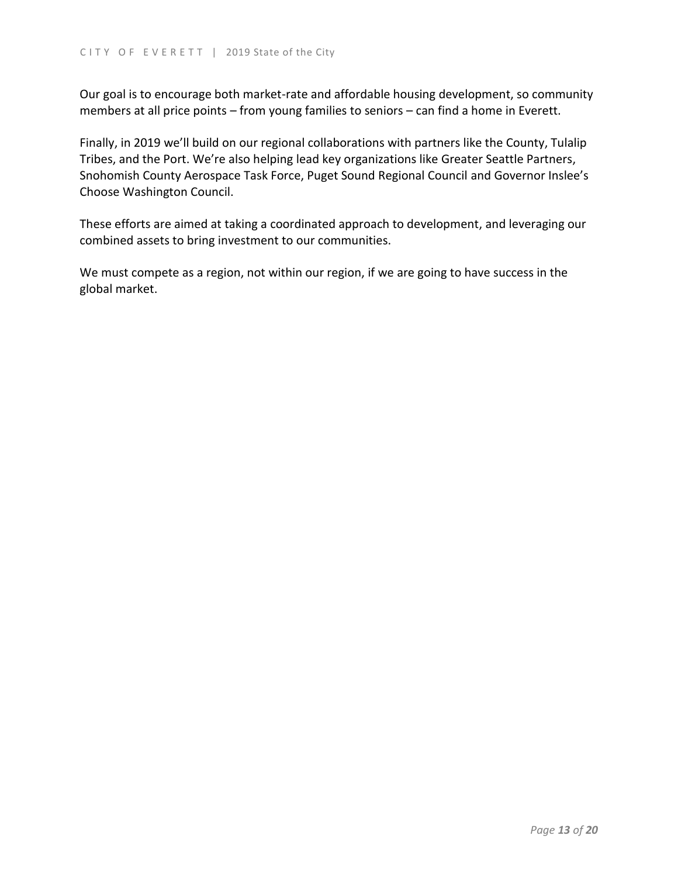Our goal is to encourage both market-rate and affordable housing development, so community members at all price points – from young families to seniors – can find a home in Everett.

Finally, in 2019 we'll build on our regional collaborations with partners like the County, Tulalip Tribes, and the Port. We're also helping lead key organizations like Greater Seattle Partners, Snohomish County Aerospace Task Force, Puget Sound Regional Council and Governor Inslee's Choose Washington Council.

These efforts are aimed at taking a coordinated approach to development, and leveraging our combined assets to bring investment to our communities.

We must compete as a region, not within our region, if we are going to have success in the global market.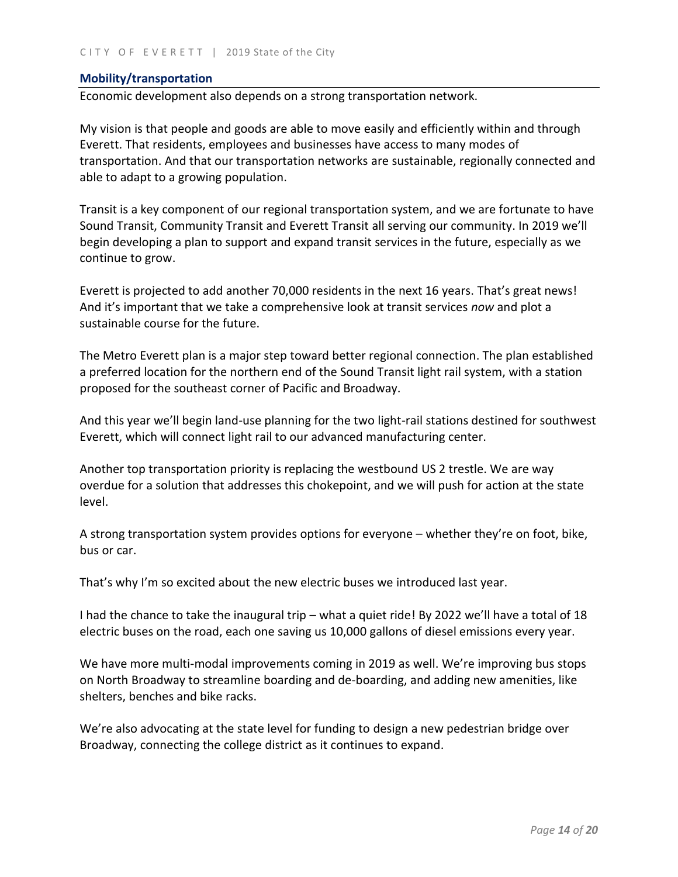## **Mobility/transportation**

Economic development also depends on a strong transportation network.

My vision is that people and goods are able to move easily and efficiently within and through Everett. That residents, employees and businesses have access to many modes of transportation. And that our transportation networks are sustainable, regionally connected and able to adapt to a growing population.

Transit is a key component of our regional transportation system, and we are fortunate to have Sound Transit, Community Transit and Everett Transit all serving our community. In 2019 we'll begin developing a plan to support and expand transit services in the future, especially as we continue to grow.

Everett is projected to add another 70,000 residents in the next 16 years. That's great news! And it's important that we take a comprehensive look at transit services *now* and plot a sustainable course for the future.

The Metro Everett plan is a major step toward better regional connection. The plan established a preferred location for the northern end of the Sound Transit light rail system, with a station proposed for the southeast corner of Pacific and Broadway.

And this year we'll begin land-use planning for the two light-rail stations destined for southwest Everett, which will connect light rail to our advanced manufacturing center.

Another top transportation priority is replacing the westbound US 2 trestle. We are way overdue for a solution that addresses this chokepoint, and we will push for action at the state level.

A strong transportation system provides options for everyone – whether they're on foot, bike, bus or car.

That's why I'm so excited about the new electric buses we introduced last year.

I had the chance to take the inaugural trip – what a quiet ride! By 2022 we'll have a total of 18 electric buses on the road, each one saving us 10,000 gallons of diesel emissions every year.

We have more multi-modal improvements coming in 2019 as well. We're improving bus stops on North Broadway to streamline boarding and de-boarding, and adding new amenities, like shelters, benches and bike racks.

We're also advocating at the state level for funding to design a new pedestrian bridge over Broadway, connecting the college district as it continues to expand.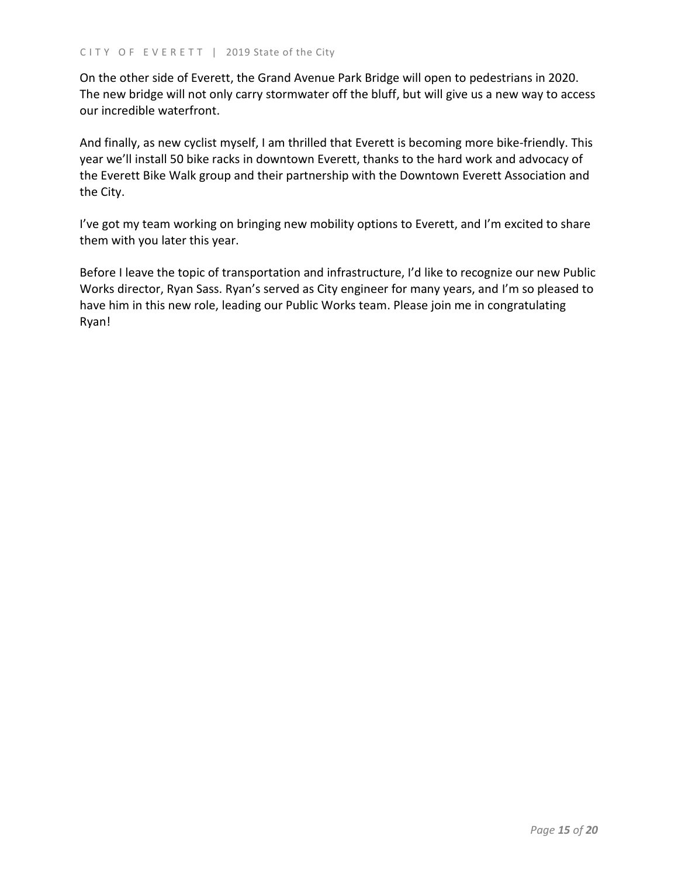On the other side of Everett, the Grand Avenue Park Bridge will open to pedestrians in 2020. The new bridge will not only carry stormwater off the bluff, but will give us a new way to access our incredible waterfront.

And finally, as new cyclist myself, I am thrilled that Everett is becoming more bike-friendly. This year we'll install 50 bike racks in downtown Everett, thanks to the hard work and advocacy of the Everett Bike Walk group and their partnership with the Downtown Everett Association and the City.

I've got my team working on bringing new mobility options to Everett, and I'm excited to share them with you later this year.

Before I leave the topic of transportation and infrastructure, I'd like to recognize our new Public Works director, Ryan Sass. Ryan's served as City engineer for many years, and I'm so pleased to have him in this new role, leading our Public Works team. Please join me in congratulating Ryan!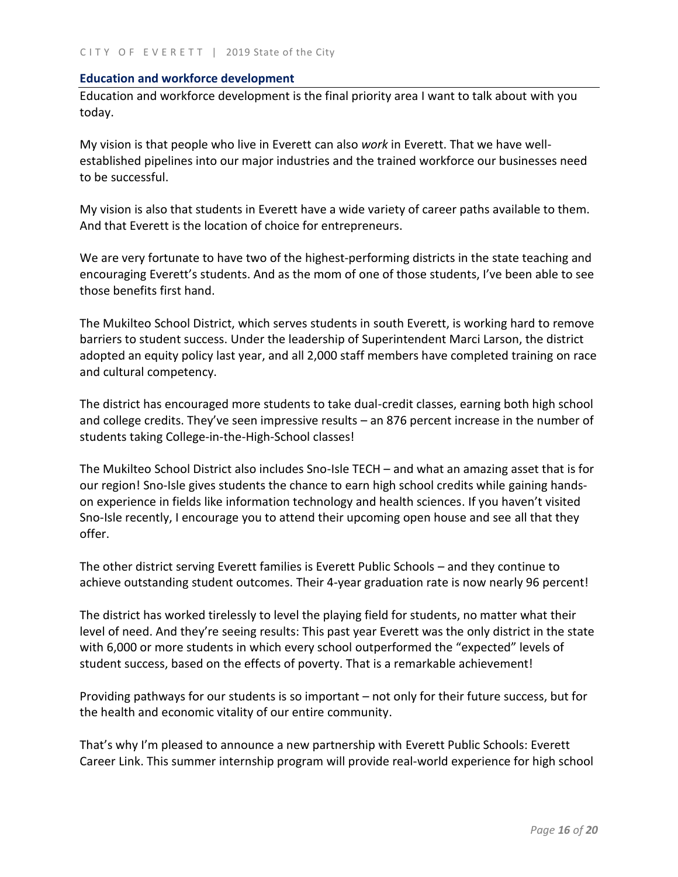#### **Education and workforce development**

Education and workforce development is the final priority area I want to talk about with you today.

My vision is that people who live in Everett can also *work* in Everett. That we have wellestablished pipelines into our major industries and the trained workforce our businesses need to be successful.

My vision is also that students in Everett have a wide variety of career paths available to them. And that Everett is the location of choice for entrepreneurs.

We are very fortunate to have two of the highest-performing districts in the state teaching and encouraging Everett's students. And as the mom of one of those students, I've been able to see those benefits first hand.

The Mukilteo School District, which serves students in south Everett, is working hard to remove barriers to student success. Under the leadership of Superintendent Marci Larson, the district adopted an equity policy last year, and all 2,000 staff members have completed training on race and cultural competency.

The district has encouraged more students to take dual-credit classes, earning both high school and college credits. They've seen impressive results – an 876 percent increase in the number of students taking College-in-the-High-School classes!

The Mukilteo School District also includes Sno-Isle TECH – and what an amazing asset that is for our region! Sno-Isle gives students the chance to earn high school credits while gaining handson experience in fields like information technology and health sciences. If you haven't visited Sno-Isle recently, I encourage you to attend their upcoming open house and see all that they offer.

The other district serving Everett families is Everett Public Schools – and they continue to achieve outstanding student outcomes. Their 4-year graduation rate is now nearly 96 percent!

The district has worked tirelessly to level the playing field for students, no matter what their level of need. And they're seeing results: This past year Everett was the only district in the state with 6,000 or more students in which every school outperformed the "expected" levels of student success, based on the effects of poverty. That is a remarkable achievement!

Providing pathways for our students is so important – not only for their future success, but for the health and economic vitality of our entire community.

That's why I'm pleased to announce a new partnership with Everett Public Schools: Everett Career Link. This summer internship program will provide real-world experience for high school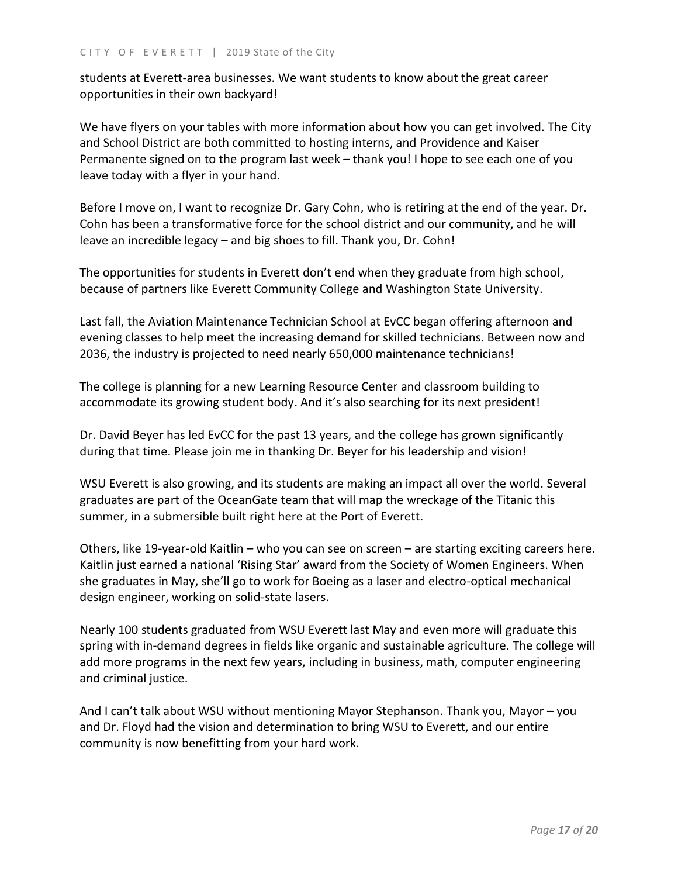students at Everett-area businesses. We want students to know about the great career opportunities in their own backyard!

We have flyers on your tables with more information about how you can get involved. The City and School District are both committed to hosting interns, and Providence and Kaiser Permanente signed on to the program last week – thank you! I hope to see each one of you leave today with a flyer in your hand.

Before I move on, I want to recognize Dr. Gary Cohn, who is retiring at the end of the year. Dr. Cohn has been a transformative force for the school district and our community, and he will leave an incredible legacy – and big shoes to fill. Thank you, Dr. Cohn!

The opportunities for students in Everett don't end when they graduate from high school, because of partners like Everett Community College and Washington State University.

Last fall, the Aviation Maintenance Technician School at EvCC began offering afternoon and evening classes to help meet the increasing demand for skilled technicians. Between now and 2036, the industry is projected to need nearly 650,000 maintenance technicians!

The college is planning for a new Learning Resource Center and classroom building to accommodate its growing student body. And it's also searching for its next president!

Dr. David Beyer has led EvCC for the past 13 years, and the college has grown significantly during that time. Please join me in thanking Dr. Beyer for his leadership and vision!

WSU Everett is also growing, and its students are making an impact all over the world. Several graduates are part of the OceanGate team that will map the wreckage of the Titanic this summer, in a submersible built right here at the Port of Everett.

Others, like 19-year-old Kaitlin – who you can see on screen – are starting exciting careers here. Kaitlin just earned a national 'Rising Star' award from the Society of Women Engineers. When she graduates in May, she'll go to work for Boeing as a laser and electro-optical mechanical design engineer, working on solid-state lasers.

Nearly 100 students graduated from WSU Everett last May and even more will graduate this spring with in-demand degrees in fields like organic and sustainable agriculture. The college will add more programs in the next few years, including in business, math, computer engineering and criminal justice.

And I can't talk about WSU without mentioning Mayor Stephanson. Thank you, Mayor – you and Dr. Floyd had the vision and determination to bring WSU to Everett, and our entire community is now benefitting from your hard work.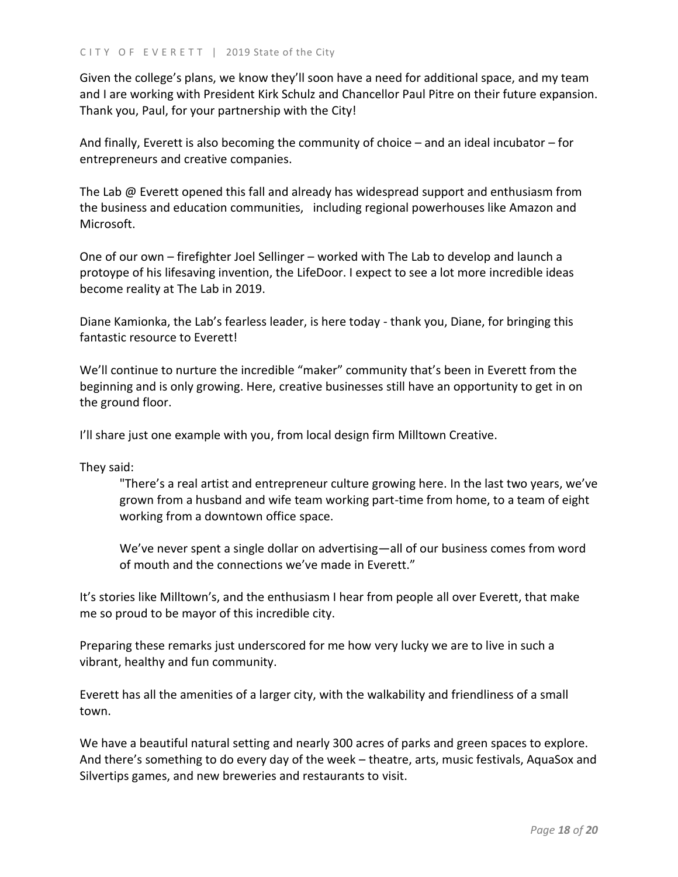Given the college's plans, we know they'll soon have a need for additional space, and my team and I are working with President Kirk Schulz and Chancellor Paul Pitre on their future expansion. Thank you, Paul, for your partnership with the City!

And finally, Everett is also becoming the community of choice – and an ideal incubator – for entrepreneurs and creative companies.

The Lab @ Everett opened this fall and already has widespread support and enthusiasm from the business and education communities, including regional powerhouses like Amazon and Microsoft.

One of our own – firefighter Joel Sellinger – worked with The Lab to develop and launch a protoype of his lifesaving invention, the LifeDoor. I expect to see a lot more incredible ideas become reality at The Lab in 2019.

Diane Kamionka, the Lab's fearless leader, is here today - thank you, Diane, for bringing this fantastic resource to Everett!

We'll continue to nurture the incredible "maker" community that's been in Everett from the beginning and is only growing. Here, creative businesses still have an opportunity to get in on the ground floor.

I'll share just one example with you, from local design firm Milltown Creative.

They said:

"There's a real artist and entrepreneur culture growing here. In the last two years, we've grown from a husband and wife team working part-time from home, to a team of eight working from a downtown office space.

We've never spent a single dollar on advertising—all of our business comes from word of mouth and the connections we've made in Everett."

It's stories like Milltown's, and the enthusiasm I hear from people all over Everett, that make me so proud to be mayor of this incredible city.

Preparing these remarks just underscored for me how very lucky we are to live in such a vibrant, healthy and fun community.

Everett has all the amenities of a larger city, with the walkability and friendliness of a small town.

We have a beautiful natural setting and nearly 300 acres of parks and green spaces to explore. And there's something to do every day of the week – theatre, arts, music festivals, AquaSox and Silvertips games, and new breweries and restaurants to visit.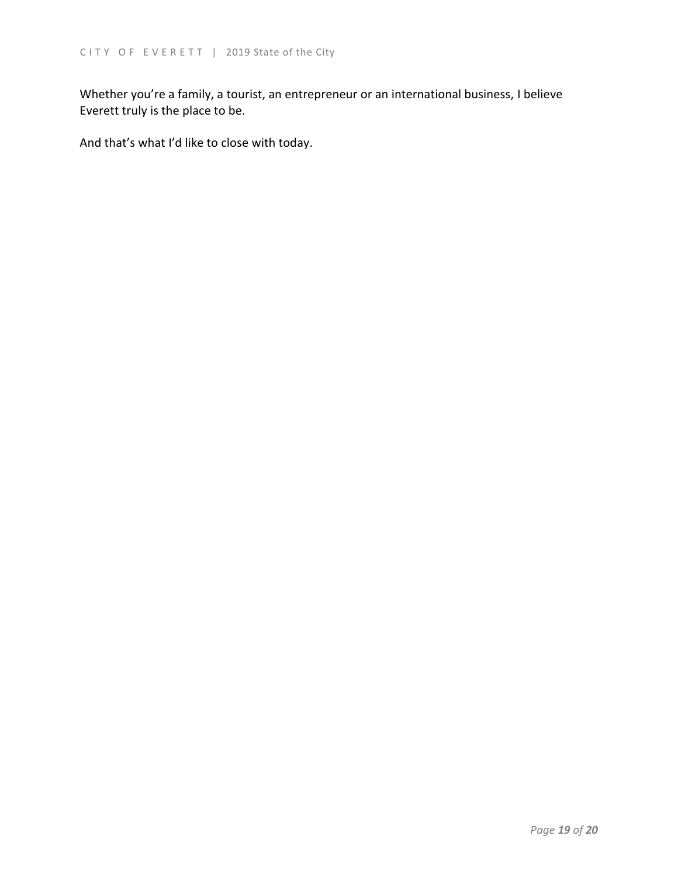Whether you're a family, a tourist, an entrepreneur or an international business, I believe Everett truly is the place to be.

And that's what I'd like to close with today.